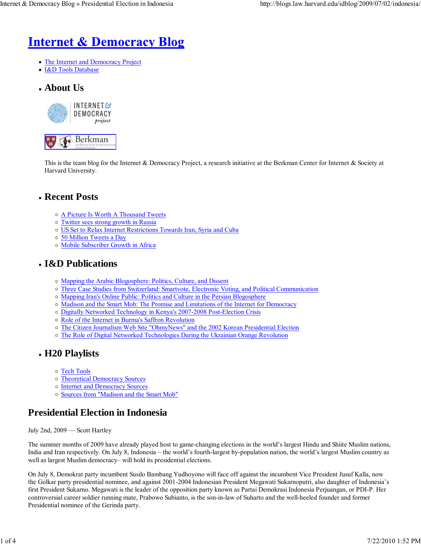# **Internet & Democracy Blog**

- The Internet and Democracy Project
- I&D Tools Database
- **About Us**



This is the team blog for the Internet & Democracy Project, a research initiative at the Berkman Center for Internet & Society at Harvard University.

## **Recent Posts**

- A Picture Is Worth A Thousand Tweets
- o Twitter sees strong growth in Russia
- US Set to Relax Internet Restrictions Towards Iran, Syria and Cuba
- 50 Million Tweets a Day
- Mobile Subscriber Growth in Africa

## **I&D Publications**

- Mapping the Arabic Blogosphere: Politics, Culture, and Dissent
- Three Case Studies from Switzerland: Smartvote, Electronic Voting, and Political Communication
- Mapping Iran's Online Public: Politics and Culture in the Persian Blogosphere
- Madison and the Smart Mob: The Promise and Limitations of the Internet for Democracy
- Digitally Networked Technology in Kenya's 2007-2008 Post-Election Crisis
- o Role of the Internet in Burma's Saffron Revolution
- o The Citizen Journalism Web Site "OhmyNews" and the 2002 Korean Presidential Election
- The Role of Digital Networked Technologies During the Ukrainian Orange Revolution

## **H20 Playlists**

- o Tech Tools
- Theoretical Democracy Sources
- o Internet and Democracy Sources
- Sources from "Madison and the Smart Mob"

## **Presidential Election in Indonesia**

July 2nd, 2009 — Scott Hartley

The summer months of 2009 have already played host to game-changing elections in the world's largest Hindu and Shiite Muslim nations, India and Iran respectively. On July 8, Indonesia – the world's fourth-largest by-population nation, the world's largest Muslim country as well as largest Muslim democracy– will hold its presidential elections.

On July 8, Demokrat party incumbent Susilo Bambang Yudhoyono will face off against the incumbent Vice President Jusuf Kalla, now the Golkar party presidential nominee, and against 2001-2004 Indonesian President Megawati Sukarnoputri, also daughter of Indonesia's first President Sukarno. Megawati is the leader of the opposition party known as Partai Demokrasi Indonesia Perjuangan, or PDI-P. Her controversial career soldier running mate, Prabowo Subianto, is the son-in-law of Suharto and the well-heeled founder and former Presidential nominee of the Gerinda party.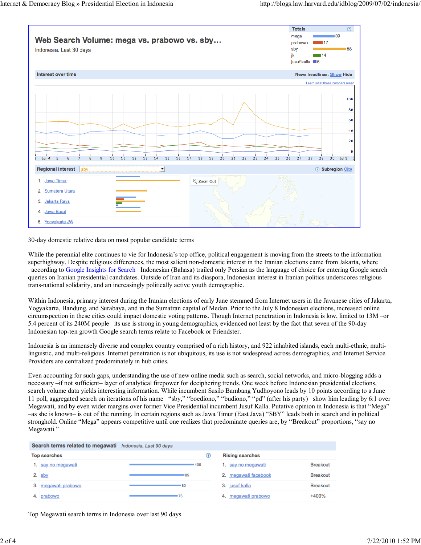

30-day domestic relative data on most popular candidate terms

While the perennial elite continues to vie for Indonesia's top office, political engagement is moving from the streets to the information superhighway. Despite religious differences, the most salient non-domestic interest in the Iranian elections came from Jakarta, where –according to Google Insights for Search– Indonesian (Bahasa) trailed only Persian as the language of choice for entering Google search queries on Iranian presidential candidates. Outside of Iran and its diaspora, Indonesian interest in Iranian politics underscores religious trans-national solidarity, and an increasingly politically active youth demographic.

Within Indonesia, primary interest during the Iranian elections of early June stemmed from Internet users in the Javanese cities of Jakarta, Yogyakarta, Bandung, and Surabaya, and in the Sumatran capital of Medan. Prior to the July 8 Indonesian elections, increased online circumspection in these cities could impact domestic voting patterns. Though Internet penetration in Indonesia is low, limited to 13M –or 5.4 percent of its 240M people– its use is strong in young demographics, evidenced not least by the fact that seven of the 90-day Indonesian top-ten growth Google search terms relate to Facebook or Friendster.

Indonesia is an immensely diverse and complex country comprised of a rich history, and 922 inhabited islands, each multi-ethnic, multilinguistic, and multi-religious. Internet penetration is not ubiquitous, its use is not widespread across demographics, and Internet Service Providers are centralized predominately in hub cities.

Even accounting for such gaps, understanding the use of new online media such as search, social networks, and micro-blogging adds a necessary –if not sufficient– layer of analytical firepower for deciphering trends. One week before Indonesian presidential elections, search volume data yields interesting information. While incumbent Susilo Bambang Yudhoyono leads by 10 points according to a June 11 poll, aggregated search on iterations of his name –"sby," "boediono," "budiono," "pd" (after his party)– show him leading by 6:1 over Megawati, and by even wider margins over former Vice Presidential incumbent Jusuf Kalla. Putative opinion in Indonesia is that "Mega" –as she is known– is out of the running. In certain regions such as Jawa Timur (East Java) "SBY" leads both in search and in political stronghold. Online "Mega" appears competitive until one realizes that predominate queries are, by "Breakout" proportions, "say no Megawati."

|                     | Search terms related to megawati Indonesia, Last 90 days |  |       |                        |  |                      |                 |
|---------------------|----------------------------------------------------------|--|-------|------------------------|--|----------------------|-----------------|
| <b>Top searches</b> |                                                          |  | (?)   | <b>Rising searches</b> |  |                      |                 |
|                     | 1. say no megawati                                       |  | - 100 |                        |  | 1. say no megawati   | <b>Breakout</b> |
|                     | 2. $s$ by                                                |  | 185   |                        |  | 2. megawati facebook | <b>Breakout</b> |
|                     | megawati prabowo                                         |  | -80   |                        |  | 3. jusuf kalla       | <b>Breakout</b> |
|                     | prabowo                                                  |  | 75    |                        |  | 4. megawati prabowo  | +400%           |

Top Megawati search terms in Indonesia over last 90 days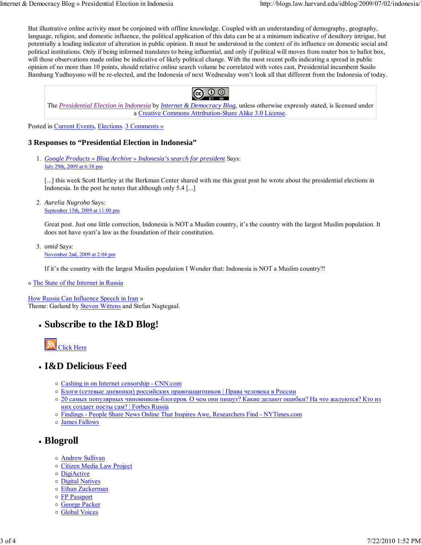But illustrative online activity must be conjoined with offline knowledge. Coupled with an understanding of demography, geography, language, religion, and domestic influence, the political application of this data can be at a minimum indicative of desultory intrigue, but potentially a leading indicator of alteration in public opinion. It must be understood in the context of its influence on domestic social and political institutions. Only if being informed translates to being influential, and only if political will moves from router box to ballot box, will those observations made online be indicative of likely political change. With the most recent polls indicating a spread in public opinion of no more than 10 points, should relative online search volume be correlated with votes cast, Presidential incumbent Susilo Bambang Yudhoyono will be re-elected, and the Indonesia of next Wednesday won't look all that different from the Indonesia of today.



The *Presidential Election in Indonesia* by *Internet & Democracy Blog*, unless otherwise expressly stated, is licensed under a Creative Commons Attribution-Share Alike 3.0 License.

Posted in Current Events, Elections. 3 Comments »

#### **3 Responses to "Presidential Election in Indonesia"**

*Google Products » Blog Archive » Indonesia's search for president* Says: 1. July 29th, 2009 at 6:38 pm

[...] this week Scott Hartley at the Berkman Center shared with me this great post he wrote about the presidential elections in Indonesia. In the post he notes that although only 5.4 [...]

*Aurelia Nugroho* Says: 2. September 15th, 2009 at 11:00 pm

Great post. Just one little correction, Indonesia is NOT a Muslim country, it's the country with the largest Muslim population. It does not have syari'a law as the foundation of their constitution.

*omid* Says: 3. November 2nd, 2009 at 2:04 pm

If it's the country with the largest Muslim population I Wonder that: Indonesia is NOT a Muslim country?!

« The State of the Internet in Russia

How Russia Can Influence Speech in Iran » Theme: Garland by Steven Wittens and Stefan Nagtegaal.

**Subscribe to the I&D Blog!**



#### **I&D Delicious Feed**

- Cashing in on Internet censorship CNN.com
- Блоги (сетевые дневники) российских правозащитников | Права человека в России
- 20 самых популярных чиновников-блогеров. О чем они пишут? Какие делают ошибки? На что жалуются? Кто из них создает посты сам? | Forbes Russia
- Findings People Share News Online That Inspires Awe, Researchers Find NYTimes.com
- James Fallows
- **Blogroll**
	- Andrew Sullivan
	- o Citizen Media Law Project
	- DigiActive
	- Digital Natives
	- Ethan Zuckerman
	- FP Passport
	- George Packer
	- Global Voices